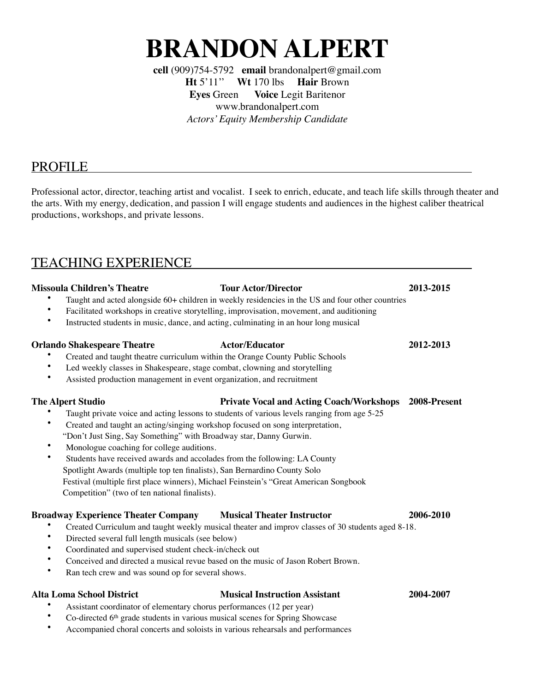# **BRANDON ALPERT**

**cell** (909)754-5792 **email** [brandonalpert@gmail.com](mailto:brandonalpert@gmail.com) **Ht** 5'11'' **Wt** 170 lbs **Hair** Brown **Eyes** Green **Voice** Legit Baritenor [www.brandonalpert.com](http://www.brandonalpert.com) *Actors' Equity Membership Candidate*

# PROFILE

Professional actor, director, teaching artist and vocalist. I seek to enrich, educate, and teach life skills through theater and the arts. With my energy, dedication, and passion I will engage students and audiences in the highest caliber theatrical productions, workshops, and private lessons.

# TEACHING EXPERIENCE

### **Missoula Children's Theatre Tour Actor/Director 2013-2015**

- Taught and acted alongside 60+ children in weekly residencies in the US and four other countries
- Facilitated workshops in creative storytelling, improvisation, movement, and auditioning
- Instructed students in music, dance, and acting, culminating in an hour long musical

#### **Orlando Shakespeare Theatre Actor/Educator 2012-2013**

- Created and taught theatre curriculum within the Orange County Public Schools
- Led weekly classes in Shakespeare, stage combat, clowning and storytelling
- Assisted production management in event organization, and recruitment

### **The Alpert Studio Private Vocal and Acting Coach/Workshops 2008-Present**

- Taught private voice and acting lessons to students of various levels ranging from age 5-25
	- Created and taught an acting/singing workshop focused on song interpretation,
- "Don't Just Sing, Say Something" with Broadway star, Danny Gurwin.
- Monologue coaching for college auditions.
- Students have received awards and accolades from the following: LA County Spotlight Awards (multiple top ten finalists), San Bernardino County Solo Festival (multiple first place winners), Michael Feinstein's "Great American Songbook Competition" (two of ten national finalists).

#### **Broadway Experience Theater Company Musical Theater Instructor 2006-2010**

- Created Curriculum and taught weekly musical theater and improv classes of 30 students aged 8-18.
- Directed several full length musicals (see below)
- Coordinated and supervised student check-in/check out
- Conceived and directed a musical revue based on the music of Jason Robert Brown.
- Ran tech crew and was sound op for several shows.

### **Alta Loma School District Musical Instruction Assistant 2004-2007**

- Assistant coordinator of elementary chorus performances (12 per year)
- Co-directed 6th grade students in various musical scenes for Spring Showcase
- Accompanied choral concerts and soloists in various rehearsals and performances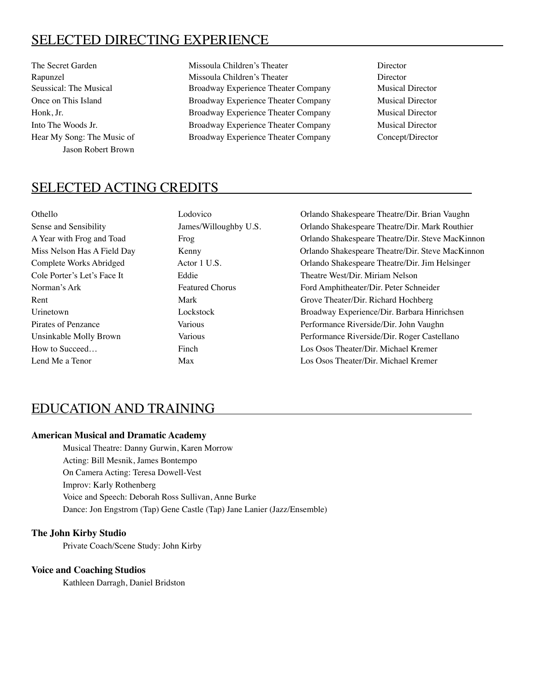# SELECTED DIRECTING EXPERIENCE

Jason Robert Brown

The Secret Garden Missoula Children's Theater Director Director Rapunzel Missoula Children's Theater Director Seussical: The Musical **Broadway Experience Theater Company** Musical Director Once on This Island Broadway Experience Theater Company Musical Director Honk, Jr. Broadway Experience Theater Company Musical Director Into The Woods Jr. Broadway Experience Theater Company Musical Director Hear My Song: The Music of Broadway Experience Theater Company Concept/Director

# SELECTED ACTING CREDITS

| Othello                     | Lodovico               | Orlando Shakespeare Theatre/Dir. Briar |
|-----------------------------|------------------------|----------------------------------------|
| Sense and Sensibility       | James/Willoughby U.S.  | Orlando Shakespeare Theatre/Dir. Marl  |
| A Year with Frog and Toad   | Frog                   | Orlando Shakespeare Theatre/Dir. Stev  |
| Miss Nelson Has A Field Day | Kenny                  | Orlando Shakespeare Theatre/Dir. Steve |
| Complete Works Abridged     | Actor 1 U.S.           | Orlando Shakespeare Theatre/Dir. Jim 1 |
| Cole Porter's Let's Face It | Eddie                  | Theatre West/Dir. Miriam Nelson        |
| Norman's Ark                | <b>Featured Chorus</b> | Ford Amphitheater/Dir. Peter Schneider |
| Rent                        | Mark                   | Grove Theater/Dir. Richard Hochberg    |
| Urinetown                   | Lockstock              | Broadway Experience/Dir. Barbara Hin   |
| Pirates of Penzance         | <b>Various</b>         | Performance Riverside/Dir. John Vaugh  |
| Unsinkable Molly Brown      | Various                | Performance Riverside/Dir. Roger Cast  |
| How to Succeed              | Finch                  | Los Osos Theater/Dir. Michael Kremer   |
| Lend Me a Tenor             | Max                    | Los Osos Theater/Dir. Michael Kremer   |

Orlando Shakespeare Theatre/Dir. Brian Vaughn Orlando Shakespeare Theatre/Dir. Mark Routhier Orlando Shakespeare Theatre/Dir. Steve MacKinnon Orlando Shakespeare Theatre/Dir. Steve MacKinnon Orlando Shakespeare Theatre/Dir. Jim Helsinger Theatre West/Dir. Miriam Nelson Ford Amphitheater/Dir. Peter Schneider Grove Theater/Dir. Richard Hochberg Broadway Experience/Dir. Barbara Hinrichsen Performance Riverside/Dir. John Vaughn Performance Riverside/Dir. Roger Castellano Los Osos Theater/Dir. Michael Kremer

# EDUCATION AND TRAINING

#### **American Musical and Dramatic Academy**

Musical Theatre: Danny Gurwin, Karen Morrow Acting: Bill Mesnik, James Bontempo On Camera Acting: Teresa Dowell-Vest Improv: Karly Rothenberg Voice and Speech: Deborah Ross Sullivan, Anne Burke Dance: Jon Engstrom (Tap) Gene Castle (Tap) Jane Lanier (Jazz/Ensemble)

#### **The John Kirby Studio**

Private Coach/Scene Study: John Kirby

#### **Voice and Coaching Studios**

Kathleen Darragh, Daniel Bridston